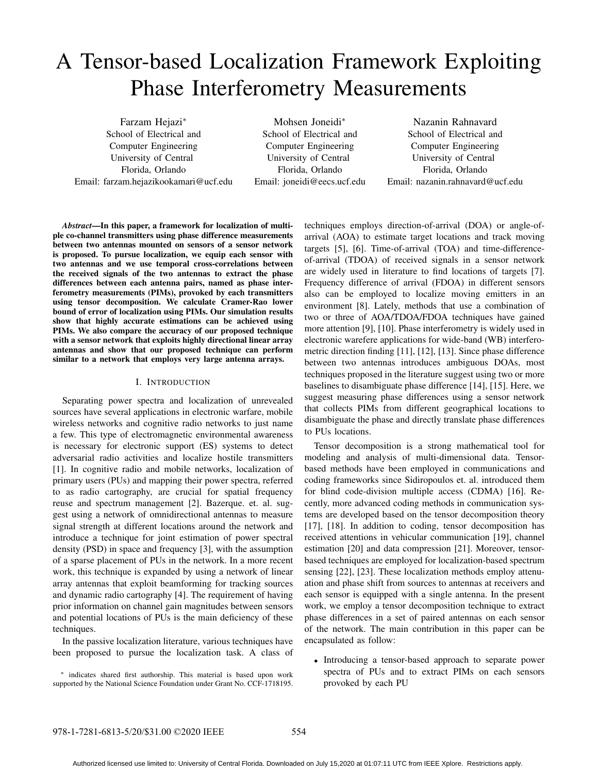# A Tensor-based Localization Framework Exploiting Phase Interferometry Measurements

Farzam Hejazi∗ School of Electrical and Computer Engineering University of Central Florida, Orlando Email: farzam.hejazikookamari@ucf.edu

Mohsen Joneidi∗ School of Electrical and Computer Engineering University of Central Florida, Orlando Email: joneidi@eecs.ucf.edu

Nazanin Rahnavard School of Electrical and Computer Engineering University of Central Florida, Orlando Email: nazanin.rahnavard@ucf.edu

*Abstract*—In this paper, a framework for localization of multiple co-channel transmitters using phase difference measurements between two antennas mounted on sensors of a sensor network is proposed. To pursue localization, we equip each sensor with two antennas and we use temporal cross-correlations between the received signals of the two antennas to extract the phase differences between each antenna pairs, named as phase interferometry measurements (PIMs), provoked by each transmitters using tensor decomposition. We calculate Cramer-Rao lower bound of error of localization using PIMs. Our simulation results show that highly accurate estimations can be achieved using PIMs. We also compare the accuracy of our proposed technique with a sensor network that exploits highly directional linear array antennas and show that our proposed technique can perform similar to a network that employs very large antenna arrays.

### I. INTRODUCTION

Separating power spectra and localization of unrevealed sources have several applications in electronic warfare, mobile wireless networks and cognitive radio networks to just name a few. This type of electromagnetic environmental awareness is necessary for electronic support (ES) systems to detect adversarial radio activities and localize hostile transmitters [1]. In cognitive radio and mobile networks, localization of primary users (PUs) and mapping their power spectra, referred to as radio cartography, are crucial for spatial frequency reuse and spectrum management [2]. Bazerque. et. al. suggest using a network of omnidirectional antennas to measure signal strength at different locations around the network and introduce a technique for joint estimation of power spectral density (PSD) in space and frequency [3], with the assumption of a sparse placement of PUs in the network. In a more recent work, this technique is expanded by using a network of linear array antennas that exploit beamforming for tracking sources and dynamic radio cartography [4]. The requirement of having prior information on channel gain magnitudes between sensors and potential locations of PUs is the main deficiency of these techniques.

In the passive localization literature, various techniques have been proposed to pursue the localization task. A class of

∗ indicates shared first authorship. This material is based upon work supported by the National Science Foundation under Grant No. CCF-1718195. techniques employs direction-of-arrival (DOA) or angle-ofarrival (AOA) to estimate target locations and track moving targets [5], [6]. Time-of-arrival (TOA) and time-differenceof-arrival (TDOA) of received signals in a sensor network are widely used in literature to find locations of targets [7]. Frequency difference of arrival (FDOA) in different sensors also can be employed to localize moving emitters in an environment [8]. Lately, methods that use a combination of two or three of AOA/TDOA/FDOA techniques have gained more attention [9], [10]. Phase interferometry is widely used in electronic warefere applications for wide-band (WB) interferometric direction finding [11], [12], [13]. Since phase difference between two antennas introduces ambiguous DOAs, most techniques proposed in the literature suggest using two or more baselines to disambiguate phase difference [14], [15]. Here, we suggest measuring phase differences using a sensor network that collects PIMs from different geographical locations to disambiguate the phase and directly translate phase differences to PUs locations.

Tensor decomposition is a strong mathematical tool for modeling and analysis of multi-dimensional data. Tensorbased methods have been employed in communications and coding frameworks since Sidiropoulos et. al. introduced them for blind code-division multiple access (CDMA) [16]. Recently, more advanced coding methods in communication systems are developed based on the tensor decomposition theory [17], [18]. In addition to coding, tensor decomposition has received attentions in vehicular communication [19], channel estimation [20] and data compression [21]. Moreover, tensorbased techniques are employed for localization-based spectrum sensing [22], [23]. These localization methods employ attenuation and phase shift from sources to antennas at receivers and each sensor is equipped with a single antenna. In the present work, we employ a tensor decomposition technique to extract phase differences in a set of paired antennas on each sensor of the network. The main contribution in this paper can be encapsulated as follow:

• Introducing a tensor-based approach to separate power spectra of PUs and to extract PIMs on each sensors provoked by each PU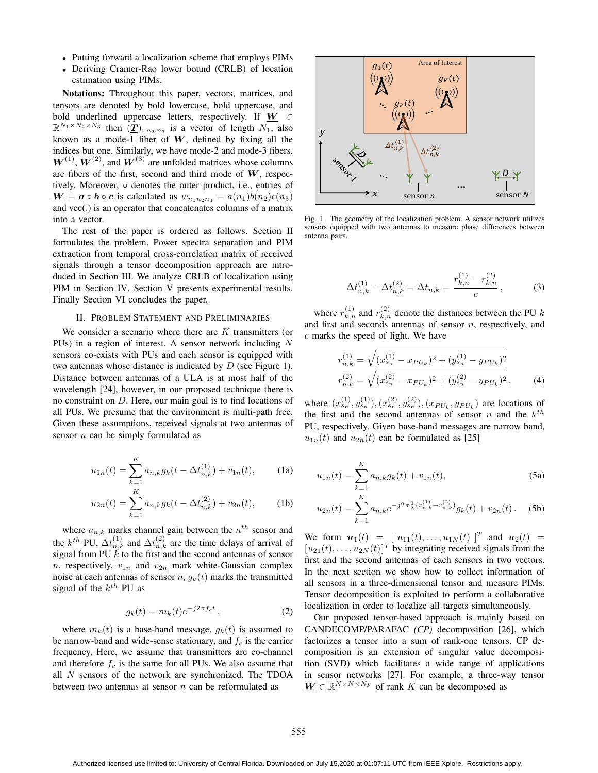- Putting forward a localization scheme that employs PIMs
- Deriving Cramer-Rao lower bound (CRLB) of location estimation using PIMs.

Notations: Throughout this paper, vectors, matrices, and tensors are denoted by bold lowercase, bold uppercase, and bold underlined uppercase letters, respectively. If *W* <sup>∈</sup>  $\mathbb{R}^{N_1 \times N_2 \times N_3}$  then  $(\underline{\mathbf{T}})_{:,n_2,n_3}$  is a vector of length  $N_1$ , also known as a mode-1 fiber of  $W$ , defined by fixing all the indices but one. Similarly, we have mode-2 and mode-3 fibers.  $W^{(1)}$ ,  $W^{(2)}$ , and  $W^{(3)}$  are unfolded matrices whose columns are fibers of the first, second and third mode of *W*, respectively. Moreover, ◦ denotes the outer product, i.e., entries of  $\underline{\mathbf{W}} = \mathbf{a} \circ \mathbf{b} \circ \mathbf{c}$  is calculated as  $w_{n_1 n_2 n_3} = a(n_1)b(n_2)c(n_3)$ and vec(.) is an operator that concatenates columns of a matrix into a vector.

The rest of the paper is ordered as follows. Section II formulates the problem. Power spectra separation and PIM extraction from temporal cross-correlation matrix of received signals through a tensor decomposition approach are introduced in Section III. We analyze CRLB of localization using PIM in Section IV. Section V presents experimental results. Finally Section VI concludes the paper.

#### II. PROBLEM STATEMENT AND PRELIMINARIES

We consider a scenario where there are  $K$  transmitters (or PUs) in a region of interest. A sensor network including N sensors co-exists with PUs and each sensor is equipped with two antennas whose distance is indicated by D (see Figure 1). Distance between antennas of a ULA is at most half of the wavelength [24], however, in our proposed technique there is no constraint on D. Here, our main goal is to find locations of all PUs. We presume that the environment is multi-path free. Given these assumptions, received signals at two antennas of sensor  $n$  can be simply formulated as

$$
u_{1n}(t) = \sum_{k=1}^{K} a_{n,k} g_k(t - \Delta t_{n,k}^{(1)}) + v_{1n}(t),
$$
 (1a)

$$
u_{2n}(t) = \sum_{k=1}^{K} a_{n,k} g_k(t - \Delta t_{n,k}^{(2)}) + v_{2n}(t),
$$
 (1b)

where  $a_{n,k}$  marks channel gain between the  $n^{th}$  sensor and the k<sup>th</sup> PU,  $\Delta t_{n,k}^{(1)}$  and  $\Delta t_{n,k}^{(2)}$  are the time delays of arrival of signal from PLI k to the first and the second antennas of sensor signal from PU  $\ddot{k}$  to the first and the second antennas of sensor n, respectively,  $v_{1n}$  and  $v_{2n}$  mark white-Gaussian complex noise at each antennas of sensor  $n$ ,  $q_k(t)$  marks the transmitted signal of the  $k^{th}$  PU as

$$
g_k(t) = m_k(t)e^{-j2\pi f_c t}, \qquad (2)
$$

where  $m_k(t)$  is a base-band message,  $g_k(t)$  is assumed to be narrow-band and wide-sense stationary, and  $f_c$  is the carrier frequency. Here, we assume that transmitters are co-channel and therefore  $f_c$  is the same for all PUs. We also assume that all N sensors of the network are synchronized. The TDOA between two antennas at sensor  $n$  can be reformulated as



Fig. 1. The geometry of the localization problem. A sensor network utilizes sensors equipped with two antennas to measure phase differences between antenna pairs.

$$
\Delta t_{n,k}^{(1)} - \Delta t_{n,k}^{(2)} = \Delta t_{n,k} = \frac{r_{k,n}^{(1)} - r_{k,n}^{(2)}}{c},\tag{3}
$$

where  $r_{k,n}^{(1)}$  and  $r_{k,n}^{(2)}$  denote the distances between the PU k and first and seconds antennas of sensor n, respectively, and c marks the speed of light. We have

r

r

$$
\begin{aligned} \mathbf{L}_{n,k}^{(1)} &= \sqrt{(x_{s_n}^{(1)} - x_{PU_k})^2 + (y_{s_n}^{(1)} - y_{PU_k})^2} \\ \mathbf{L}_{n,k}^{(2)} &= \sqrt{(x_{s_n}^{(2)} - x_{PU_k})^2 + (y_{s_n}^{(2)} - y_{PU_k})^2} \,, \end{aligned} \tag{4}
$$

where  $(x_0^{(1)}, y_0^{(1)}), (x_{s_n}^{(2)}, y_{s_n}^{(2)}), (x_{PU_k}, y_{PU_k})$  are locations of<br>the first and the second antennas of sensor *n* and the *k*<sup>th</sup> the first and the second antennas of sensor n and the  $k^{th}$ PU, respectively. Given base-band messages are narrow band,  $u_{1n}(t)$  and  $u_{2n}(t)$  can be formulated as [25]

$$
u_{1n}(t) = \sum_{k=1}^{K} a_{n,k} g_k(t) + v_{1n}(t),
$$
\n(5a)

$$
u_{2n}(t) = \sum_{k=1}^{K} a_{n,k} e^{-j2\pi \frac{1}{\lambda} (r_{n,k}^{(1)} - r_{n,k}^{(2)})} g_k(t) + v_{2n}(t).
$$
 (5b)

We form  $u_1(t) = [ u_{11}(t), \ldots, u_{1N}(t) ]^T$  and  $u_2(t) =$  $[u_{21}(t),...,u_{2N}(t)]^T$  by integrating received signals from the first and the second antennas of each sensors in two vectors. In the next section we show how to collect information of all sensors in a three-dimensional tensor and measure PIMs. Tensor decomposition is exploited to perform a collaborative localization in order to localize all targets simultaneously.

Our proposed tensor-based approach is mainly based on CANDECOMP/PARAFAC *(CP)* decomposition [26], which factorizes a tensor into a sum of rank-one tensors. CP decomposition is an extension of singular value decomposition (SVD) which facilitates a wide range of applications in sensor networks [27]. For example, a three-way tensor  $\underline{W} \in \mathbb{R}^{N \times N \times N_F}$  of rank K can be decomposed as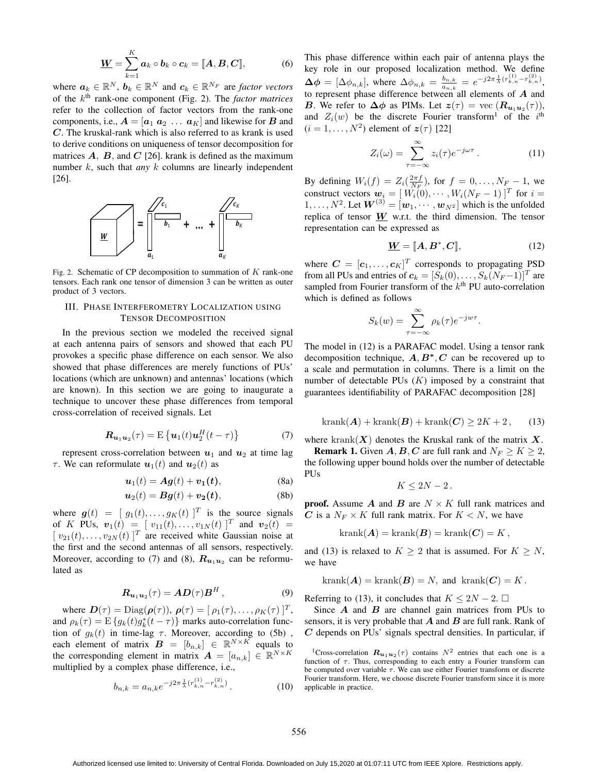$$
\underline{W} = \sum_{k=1}^{K} a_k \circ b_k \circ c_k = [\![A, B, C]\!], \tag{6}
$$

where  $a_k \in \mathbb{R}^N$ ,  $b_k \in \mathbb{R}^N$  and  $c_k \in \mathbb{R}^{N_F}$  are *factor vectors*<br>of the k<sup>th</sup> rank-one component (Fig. 2). The *factor matrices* of the kth rank-one component (Fig. 2). The *factor matrices* refer to the collection of factor vectors from the rank-one components, i.e.,  $A = [a_1 \ a_2 \ \dots \ a_K]$  and likewise for *B* and *C*. The kruskal-rank which is also referred to as krank is used to derive conditions on uniqueness of tensor decomposition for matrices  $A$ ,  $B$ , and  $C$  [26]. krank is defined as the maximum number k, such that *any* k columns are linearly independent [26].



Fig. 2. Schematic of CP decomposition to summation of  $K$  rank-one tensors. Each rank one tensor of dimension 3 can be written as outer product of 3 vectors.

## III. PHASE INTERFEROMETRY LOCALIZATION USING TENSOR DECOMPOSITION

In the previous section we modeled the received signal at each antenna pairs of sensors and showed that each PU provokes a specific phase difference on each sensor. We also showed that phase differences are merely functions of PUs' locations (which are unknown) and antennas' locations (which are known). In this section we are going to inaugurate a technique to uncover these phase differences from temporal cross-correlation of received signals. Let

$$
\boldsymbol{R}_{\boldsymbol{u}_1\boldsymbol{u}_2}(\tau) = \mathrm{E}\left\{\boldsymbol{u}_1(t)\boldsymbol{u}_2^H(t-\tau)\right\} \tag{7}
$$

represent cross-correlation between  $u_1$  and  $u_2$  at time lag  $\tau$ . We can reformulate  $u_1(t)$  and  $u_2(t)$  as

$$
\mathbf{u}_1(t) = \mathbf{A}\mathbf{g}(t) + \mathbf{v}_1(t),\tag{8a}
$$

$$
\boldsymbol{u}_2(t) = \boldsymbol{B}\boldsymbol{g}(t) + \boldsymbol{v}_2(t),\tag{8b}
$$

where  $g(t) = [g_1(t),...,g_K(t)]^T$  is the source signals<br>of K PUs  $y_1(t) = [y_{1}t(t),...,y_{K}(t)]^T$  and  $y_2(t) =$ of K PUs,  $\mathbf{v}_1(t) = [v_{11}(t), \ldots, v_{1N}(t)]^T$  and  $\mathbf{v}_2(t) =$ <br> $[v_{21}(t), \ldots, v_{2N}(t)]^T$  are received white Gaussian noise at  $[v_{21}(t),...,v_{2N}(t)]^T$  are received white Gaussian noise at the first and the second antennas of all sensors respectively the first and the second antennas of all sensors, respectively. Moreover, according to (7) and (8),  $R_{u_1u_2}$  can be reformulated as

$$
\boldsymbol{R}_{\boldsymbol{u}_1\boldsymbol{u}_2}(\tau) = \boldsymbol{A}\boldsymbol{D}(\tau)\boldsymbol{B}^H, \tag{9}
$$

where  $\mathbf{D}(\tau) = \text{Diag}(\boldsymbol{\rho}(\tau)), \, \boldsymbol{\rho}(\tau) = [\rho_1(\tau), \ldots, \rho_K(\tau)]^T$ , and  $\rho_k(\tau) = \mathbb{E}\left\{g_k(t)g_k^*(t-\tau)\right\}$  marks auto-correlation func-<br>tion of  $g_k(t)$  in time-lag  $\tau$ . Moreover, according to (5b) tion of  $g_k(t)$  in time-lag  $\tau$ . Moreover, according to (5b), each element of matrix  $\mathbf{B} = [b_{n,k}] \in \mathbb{R}^{N \times K}$  equals to the corresponding element in matrix  $\mathbf{A} = [a_{n,k}] \in \mathbb{R}^{N \times K}$ multiplied by a complex phase difference, i.e.,

$$
b_{n,k} = a_{n,k} e^{-j2\pi \frac{1}{\lambda} (r_{k,n}^{(1)} - r_{k,n}^{(2)})}.
$$
 (10)

This phase difference within each pair of antenna plays the key role in our proposed localization method. We define  $\Delta \phi = [\Delta \phi_{n,k}],$  where  $\Delta \phi_{n,k} = \frac{b_{n,k}}{a_{n,k}} = e^{-j2\pi \frac{1}{\lambda} (r_{k,n}^{(1)} - r_{k,n}^{(2)})},$ to represent phase difference between all elements of *A* and **B** We refer to  $\Delta \phi$  as PIMs Let  $z(\tau) = \text{vec}(B - \langle \tau \rangle)$ *B*. We refer to  $\Delta \phi$  as PIMs. Let  $z(\tau) = \text{vec} (R_{u_1u_2}(\tau)),$ and  $Z_i(w)$  be the discrete Fourier transform<sup>1</sup> of the i<sup>th</sup>  $(i-1)$   $N^2$ ) element of  $z(\tau)$  [22]  $(i = 1, \ldots, N^2)$  element of  $z(\tau)$  [22]

$$
Z_i(\omega) = \sum_{\tau = -\infty}^{\infty} z_i(\tau) e^{-j\omega \tau} . \tag{11}
$$

By defining  $W_i(f) = Z_i(\frac{2\pi f}{N_F})$ , for  $f = 0, \ldots, N_F - 1$ , we construct vectors  $\mathbf{w}_i = [W_i(0), \ldots, W_i(N_F - 1)]^T$  for  $i =$ construct vectors  $w_i = [W_i(0), \cdots, W_i(N_F-1)]^T$  for  $i =$ <br>1  $N^2$  Let  $W^{(3)} = [w_1, \cdots, w_N]$  which is the unfolded 1,...,  $N^2$ . Let  $W^{(3)} = [w_1, \cdots, w_{N^2}]$  which is the unfolded<br>replica of tensor  $W$  wrt, the third dimension. The tensor replica of tensor  $W$  w.r.t. the third dimension. The tensor representation can be expressed as

$$
\underline{W} = [\![A, B^*, C]\!],\tag{12}
$$

where  $C = [c_1, \ldots, c_K]^T$  corresponds to propagating PSD<br>from all PHs and entries of  $c_i = [S_i(t)]$   $S_i(tN_{i-1})]^T$  are from all PUs and entries of  $c_k = [S_k(0), \ldots, S_k(N_F-1)]^T$  are sampled from Fourier transform of the  $k<sup>th</sup>$  PU auto-correlation which is defined as follows

$$
S_k(w) = \sum_{\tau = -\infty}^{\infty} \rho_k(\tau) e^{-j w \tau}.
$$

The model in (12) is a PARAFAC model. Using a tensor rank decomposition technique, *A*, *B<sup>∗</sup>*, *<sup>C</sup>* can be recovered up to a scale and permutation in columns. There is a limit on the number of detectable PUs  $(K)$  imposed by a constraint that guarantees identifiability of PARAFAC decomposition [28]

$$
krank(\boldsymbol{A}) + krank(\boldsymbol{B}) + krank(\boldsymbol{C}) \ge 2K + 2, \qquad (13)
$$

where  $\text{krank}(X)$  denotes the Kruskal rank of the matrix X. **Remark 1.** Given  $A, B, C$  are full rank and  $N_F \ge K \ge 2$ ,

the following upper bound holds over the number of detectable PUs

$$
K\leq 2N-2.
$$

**proof.** Assume  $\boldsymbol{A}$  and  $\boldsymbol{B}$  are  $N \times K$  full rank matrices and *C* is a  $N_F \times K$  full rank matrix. For  $K < N$ , we have

$$
krank(\mathbf{A}) = krank(\mathbf{B}) = krank(\mathbf{C}) = K,
$$

and (13) is relaxed to  $K \geq 2$  that is assumed. For  $K \geq N$ , we have

$$
krank(\mathbf{A}) = krank(\mathbf{B}) = N, \text{ and } krank(\mathbf{C}) = K.
$$

Referring to (13), it concludes that  $K \leq 2N - 2$ .  $\Box$ <br>Since **A** and **B** are channel gain matrices from

Since *A* and *B* are channel gain matrices from PUs to sensors, it is very probable that *A* and *B* are full rank. Rank of *C* depends on PUs' signals spectral densities. In particular, if

<sup>&</sup>lt;sup>1</sup>Cross-correlation  $\mathbf{R}_{u_1u_2}(\tau)$  contains  $N^2$  entries that each one is a function of  $\tau$ . Thus, corresponding to each entry a Fourier transform can be computed over variable  $\tau$ . We can use either Fourier transform or discrete Fourier transform. Here, we choose discrete Fourier transform since it is more applicable in practice.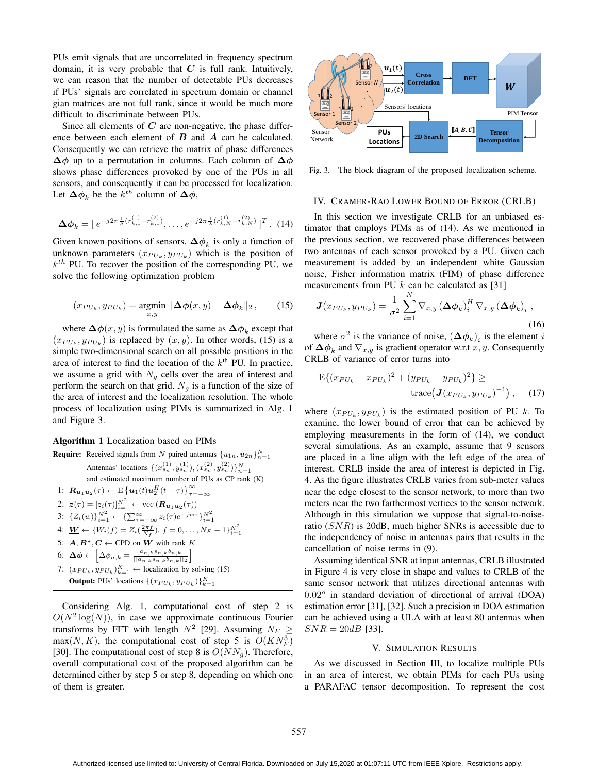PUs emit signals that are uncorrelated in frequency spectrum domain, it is very probable that  $C$  is full rank. Intuitively, we can reason that the number of detectable PUs decreases if PUs' signals are correlated in spectrum domain or channel gian matrices are not full rank, since it would be much more difficult to discriminate between PUs.

Since all elements of *C* are non-negative, the phase difference between each element of *B* and *A* can be calculated. Consequently we can retrieve the matrix of phase differences **<sup>Δ</sup>***φ* up to a permutation in columns. Each column of **<sup>Δ</sup>***φ* shows phase differences provoked by one of the PUs in all sensors, and consequently it can be processed for localization. Let  $\Delta \phi_k$  be the  $k^{\hat{th}}$  column of  $\Delta \phi$ ,

$$
\Delta \phi_k = [e^{-j2\pi \frac{1}{\lambda} (r_{k,1}^{(1)} - r_{k,1}^{(2)})}, \dots, e^{-j2\pi \frac{1}{\lambda} (r_{k,N}^{(1)} - r_{k,N}^{(2)})}]^T. (14)
$$

Given known positions of sensors,  $\Delta \phi_k$  is only a function of unknown parameters  $(x_{PU_k}, y_{PU_k})$  which is the position of  $k<sup>th</sup>$  PU. To recover the position of the corresponding PU, we solve the following optimization problem

$$
(x_{PU_k}, y_{PU_k}) = \underset{x,y}{\text{argmin}} \|\Delta \phi(x,y) - \Delta \phi_k\|_2, \qquad (15)
$$

where  $\Delta \phi(x, y)$  is formulated the same as  $\Delta \phi_k$  except that  $(x_{PU_k}, y_{PU_k})$  is replaced by  $(x, y)$ . In other words, (15) is a simple two-dimensional search on all possible positions in the area of interest to find the location of the  $k<sup>th</sup>$  PU. In practice, we assume a grid with  $N<sub>g</sub>$  cells over the area of interest and perform the search on that grid.  $N_g$  is a function of the size of the area of interest and the localization resolution. The whole process of localization using PIMs is summarized in Alg. 1 and Figure 3.

|  |  | Algorithm 1 Localization based on PIMs |  |  |  |
|--|--|----------------------------------------|--|--|--|
|--|--|----------------------------------------|--|--|--|

| <b>Require:</b> Received signals from N paired antennas $\{u_{1n}, u_{2n}\}_{n=1}^N$                                         |
|------------------------------------------------------------------------------------------------------------------------------|
| Antennas' locations $\{(x_{s_n}^{(1)}, y_{s_n}^{(1)}), (x_{s_n}^{(2)}, y_{s_n}^{(2)})\}_{n=1}^N$                             |
| and estimated maximum number of PUs as CP rank (K)                                                                           |
| 1: $\mathbf{R}_{u_1u_2}(\tau) \leftarrow E\left\{u_1(t)u_2^H(t-\tau)\right\}_{\tau=-\infty}^{\infty}$                        |
| 2: $z(\tau) = [z_i(\tau)]_{i=1}^{N^2} \leftarrow \text{vec}(\mathbf{R}_{u_1u_2}(\tau))$                                      |
| 3: $\{Z_i(w)\}_{i=1}^{N^2} \leftarrow \{\sum_{\tau=-\infty}^{\infty} z_i(\tau) e^{-j w \tau}\}_{i=1}^{N^2}$                  |
| 4: $\underline{W} \leftarrow \{W_i(f) = Z_i(\frac{2\pi f}{N_f}), f = 0, \ldots, N_F - 1\}_{i=1}^{N^2}$                       |
| 5: $A, B^*, C \leftarrow$ CPD on W with rank K                                                                               |
| 6: $\Delta \phi \leftarrow \left[ \Delta \phi_{n,k} = \frac{a_{n,k} s_{n,k} b_{n,k}}{  a_{n,k} s_{n,k} b_{n,k}  _2} \right]$ |
| 7: $(x_{PU_k}, y_{PU_k})_{k=1}^K \leftarrow$ localization by solving (15)                                                    |
| <b>Output:</b> PUs' locations $\{(x_{PU_k}, y_{PU_k})\}_{k=1}^K$                                                             |

Considering Alg. 1, computational cost of step 2 is  $O(N^2 \log(N))$ , in case we approximate continuous Fourier transforms by FFT with length  $N^2$  [29]. Assuming  $N_F \geq$  $max(N, K)$ , the computational cost of step 5 is  $O(KN<sub>F</sub><sup>3</sup>)$ Final (1, 2, 2), the computational cost of step 8 is  $O(NN_g)$ . Therefore,<br>[30]. The computational cost of the proposed algorithm can be overall computational cost of the proposed algorithm can be determined either by step 5 or step 8, depending on which one of them is greater.



Fig. 3. The block diagram of the proposed localization scheme.

### IV. CRAMER-RAO LOWER BOUND OF ERROR (CRLB)

In this section we investigate CRLB for an unbiased estimator that employs PIMs as of (14). As we mentioned in the previous section, we recovered phase differences between two antennas of each sensor provoked by a PU. Given each measurement is added by an independent white Gaussian noise, Fisher information matrix (FIM) of phase difference measurements from PU  $k$  can be calculated as [31]

$$
\boldsymbol{J}(x_{PU_k}, y_{PU_k}) = \frac{1}{\sigma^2} \sum_{i=1}^N \nabla_{x,y} \left(\boldsymbol{\Delta}\phi_k\right)_i^H \nabla_{x,y} \left(\boldsymbol{\Delta}\phi_k\right)_i ,
$$
\n(16)

where  $\sigma^2$  is the variance of noise,  $(\Delta \phi_k)_i$  is the element i of  $\Delta \phi_k$  and  $\nabla_{x,y}$  is gradient operator w.r.t x, y. Consequently CRLB of variance of error turns into

$$
E\{(x_{PU_k} - \bar{x}_{PU_k})^2 + (y_{PU_k} - \bar{y}_{PU_k})^2\} \ge \text{trace}\big(\mathbf{J}(x_{PU_k}, y_{PU_k})^{-1}\big), \quad (17)
$$

where  $(\bar{x}_{PU_k}, \bar{y}_{PU_k})$  is the estimated position of PU k. To examine, the lower bound of error that can be achieved by employing measurements in the form of (14), we conduct several simulations. As an example, assume that 9 sensors are placed in a line align with the left edge of the area of interest. CRLB inside the area of interest is depicted in Fig. 4. As the figure illustrates CRLB varies from sub-meter values near the edge closest to the sensor network, to more than two meters near the two farthermost vertices to the sensor network. Although in this simulation we suppose that signal-to-noiseratio (SNR) is 20dB, much higher SNRs is accessible due to the independency of noise in antennas pairs that results in the cancellation of noise terms in (9).

Assuming identical SNR at input antennas, CRLB illustrated in Figure 4 is very close in shape and values to CRLB of the same sensor network that utilizes directional antennas with  $0.02<sup>o</sup>$  in standard deviation of directional of arrival (DOA) estimation error [31], [32]. Such a precision in DOA estimation can be achieved using a ULA with at least 80 antennas when  $SNR = 20dB$  [33].

#### V. SIMULATION RESULTS

As we discussed in Section III, to localize multiple PUs in an area of interest, we obtain PIMs for each PUs using a PARAFAC tensor decomposition. To represent the cost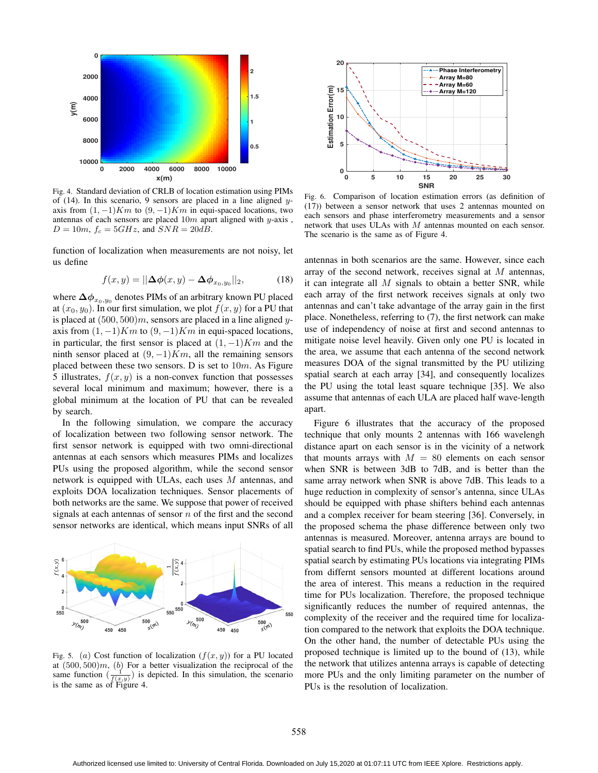

Fig. 4. Standard deviation of CRLB of location estimation using PIMs of (14). In this scenario, 9 sensors are placed in a line aligned yaxis from  $(1, -1)Km$  to  $(9, -1)Km$  in equi-spaced locations, two antennas of each sensors are placed  $10m$  apart aligned with y-axis,  $D = 10m$ ,  $f_c = 5GHz$ , and  $SNR = 20dB$ .

function of localization when measurements are not noisy, let us define

$$
f(x,y) = ||\Delta\phi(x,y) - \Delta\phi_{x_0,y_0}||_2, \qquad (18)
$$

where  $\Delta\phi_{x_0,y_0}$  denotes PIMs of an arbitrary known PU placed at  $(x_0, y_0)$ . In our first simulation, we plot  $f(x, y)$  for a PU that is placed at  $(500, 500)m$ , sensors are placed in a line aligned yaxis from  $(1, -1)Km$  to  $(9, -1)Km$  in equi-spaced locations, in particular, the first sensor is placed at  $(1, -1)Km$  and the ninth sensor placed at  $(9, -1)Km$ , all the remaining sensors placed between these two sensors. D is set to  $10m$ . As Figure 5 illustrates,  $f(x, y)$  is a non-convex function that possesses several local minimum and maximum; however, there is a global minimum at the location of PU that can be revealed by search.

In the following simulation, we compare the accuracy of localization between two following sensor network. The first sensor network is equipped with two omni-directional antennas at each sensors which measures PIMs and localizes PUs using the proposed algorithm, while the second sensor network is equipped with ULAs, each uses M antennas, and exploits DOA localization techniques. Sensor placements of both networks are the same. We suppose that power of received signals at each antennas of sensor  $n$  of the first and the second sensor networks are identical, which means input SNRs of all



Fig. 5. (a) Cost function of localization  $(f(x, y))$  for a PU located at  $(500, 500)m$ , (b) For a better visualization the reciprocal of the same function  $\left(\frac{1}{f(x,y)}\right)$  is depicted. In this simulation, the scenario is the same as of Figure 4.



Fig. 6. Comparison of location estimation errors (as definition of (17)) between a sensor network that uses 2 antennas mounted on each sensors and phase interferometry measurements and a sensor network that uses ULAs with M antennas mounted on each sensor. The scenario is the same as of Figure 4.

antennas in both scenarios are the same. However, since each array of the second network, receives signal at M antennas, it can integrate all  $M$  signals to obtain a better SNR, while each array of the first network receives signals at only two antennas and can't take advantage of the array gain in the first place. Nonetheless, referring to (7), the first network can make use of independency of noise at first and second antennas to mitigate noise level heavily. Given only one PU is located in the area, we assume that each antenna of the second network measures DOA of the signal transmitted by the PU utilizing spatial search at each array [34], and consequently localizes the PU using the total least square technique [35]. We also assume that antennas of each ULA are placed half wave-length apart.

Figure 6 illustrates that the accuracy of the proposed technique that only mounts 2 antennas with 166 wavelengh distance apart on each sensor is in the vicinity of a network that mounts arrays with  $M = 80$  elements on each sensor when SNR is between 3dB to 7dB, and is better than the same array network when SNR is above 7dB. This leads to a huge reduction in complexity of sensor's antenna, since ULAs should be equipped with phase shifters behind each antennas and a complex receiver for beam steering [36]. Conversely, in the proposed schema the phase difference between only two antennas is measured. Moreover, antenna arrays are bound to spatial search to find PUs, while the proposed method bypasses spatial search by estimating PUs locations via integrating PIMs from differnt sensors mounted at different locations around the area of interest. This means a reduction in the required time for PUs localization. Therefore, the proposed technique significantly reduces the number of required antennas, the complexity of the receiver and the required time for localization compared to the network that exploits the DOA technique. On the other hand, the number of detectable PUs using the proposed technique is limited up to the bound of (13), while the network that utilizes antenna arrays is capable of detecting more PUs and the only limiting parameter on the number of PUs is the resolution of localization.